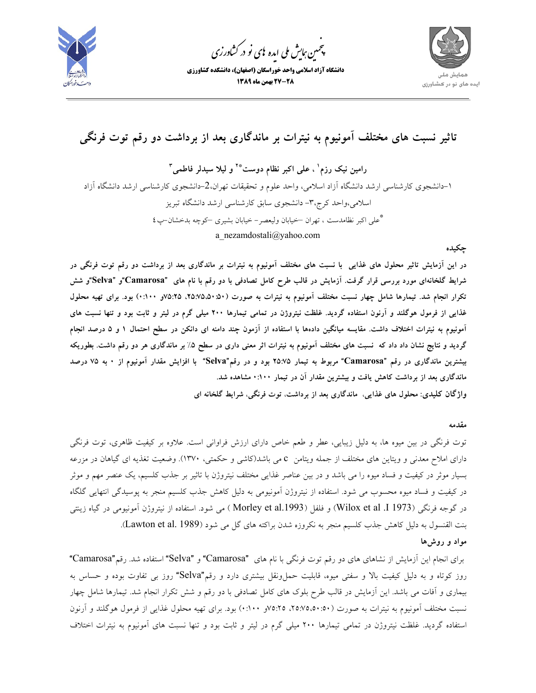

.<br>چمین *جایش ملی* ایده <sup>ب</sup>ای نو در کشاورزی ൕह

ֺׅ



# **تاثير نسبت هاي مختلف آمونيوم به نيترات بر ماندگاري بعد از برداشت دو رقم توت فرنگي**

**<sup>3</sup>و ليلا سيدلر فاطمي \*2 ، علي اكبر نظام دوست <sup>1</sup> رامين نيك رزم** -1 دانشجوي كارشناسي ارشد دانشگاه آزاد اسلامي، واحد علوم و تحقيقات تهران-2، دانشجوي كارشناسي ارشد دانشگاه آزاد اسلامي،واحد كرج-3، دانشجوي سابق كارشناسي ارشد دانشگاه تبريز علي اكبر نظامدست ، تهران –خيابان وليعصر- خيابان بشيري –كوچه بدخشان-پ4 **\*** a\_nezamdostali@yahoo.com

#### **چكيده**

در این آزمایش تاثیر محلول های غذایی با نسبت های مختلف آمونیوم به نیترات بر ماندگاری بعد از برداشت دو رقم توت فرنگی در شرایط گلخانهای مورد بررسی قرار گرفت. آزمایش در قالب طرح کامل تصادفی با دو رقم با نام های "Camarosa"و "Selva"و شش تکرار انجام شد. تیمارها شامل چهار نسبت مختلف آمونیوم به نیترات به صورت (۵۰:۵۰:۵۵۰، ۲۵:۷۵،۵۰) بود. برای تهیه محلول غذایی از فرمول هوگلند و آرنون استفاده گردید. غلظت نیتروژن در تمامی تیمارها ۲۰۰ میلی گرم در لیتر و ثابت بود و تنها نسبت های آمونیوم به نیترات اختلاف داشت. مقایسه میانگین دادهها با استفاده از آزمون چند دامنه ای دانکن در سطح احتمال ۱ و ۵ درصد انجام گردید و نتایج نشان داد داد که نسبت های مختلف آمونیوم به نیترات اثر معنی داری در سطح ۵٪ بر ماندگاری هر دو رقم داشت. بطوریکه بیشترین ماندگاری در رقم "Camarosa" مربوط به تیمار ۲۵:۷۵ بود و در رقم"Selva" با افزایش مقدار آمونیوم از ۰ به ۷۵ درصد **ماندگاري بعد از برداشت كاهش يافت و بيشترين مقدار آن در تيمار 0:100 مشاهده شد.** 

**واژگان كليدي: محلول هاي غذايي**، **ماندگاري بعد از برداشت**، **توت فرنگي**، **شرايط گلخانه اي** 

#### **مقدمه**

توت فرنگي در بين ميوه ها، به دليل زيبايي، عطر و طعم خاص داراي ارزش فراواني است. علاوه بر كيفيت ظاهري، توت فرنگي داراي املاح معدني و ويتاين هاي مختلف از جمله ويتامن c مي باشد(كاشي و حكمتي، 1370). وضعيت تغذيه اي گياهان در مزرعه بسيار موثر در كيفيت و فساد ميوه را مي باشد و در بين عناصر غذايي مختلف نيتروژن با تاثير بر جذب كلسيم، يك عنصر مهم و موثر در كيفيت و فساد ميوه محسوب مي شود. استفاده از نيتروژن آمونيومي به دليل كاهش جذب كلسيم منجر به پوسيدگي انتهايي گلگاه در گوجه فرنگي (1973 ]. Wilox et al يو فلفل (Morley et al.1993) مي شود. استفاده از نيتروژن آمونيومي در گياه زينتي بنت القنسول به دليل كاهش جذب كلسيم منجر به نكروزه شدن براكته هاي گل مي شود (Lawton et al. 1989). **مواد و روشها** 

براي انجام اين آزمايش از نشاهاي هاي دو رقم توت فرنگي با نام هاي "Camarosa "و "Selva "استفاده شد. رقم"Camarosa" روز كوتاه و به دليل كيفيت بالا و سفتي ميوه، قابليت حملeنقل بيشتري دارد و رقم"Selva" روز بي تفاوت بوده و حساس به بيماري و آفات مي باشد. اين آزمايش در قالب طرح بلوك هاي كامل تصادفي با دو رقم و شش تكرار انجام شد. تيمارها شامل چهار نسبت مختلف آمونيوم به نيترات به صورت (،25:75،50:50 75:25و 0:100) بود. براي تهيه محلول غذايي از فرمول هوگلند و آرنون استفاده گرديد. غلظت نيتروژن در تمامي تيمارها 200 ميلي گرم در ليتر و ثابت بود و تنها نسبت هاي آمونيوم به نيترات اختلاف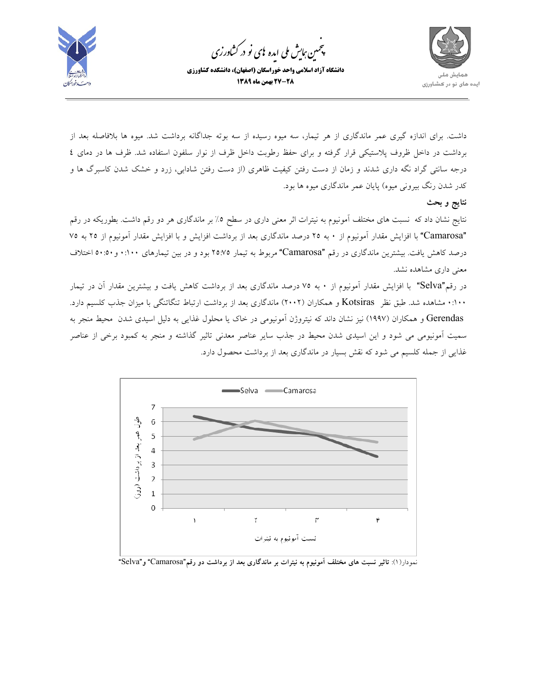

.<br>پنجمین *جایش ملی* ایده <sup>ب</sup>ای نو در کشاورزی ൕह

ׇ֦ׅ֘



داشت. براي اندازه گيري عمر ماندگاري از هر تيمار، سه ميوه رسيده از سه بوته جداگانه برداشت شد. ميوه ها بلافاصله بعد از برداشت در داخل ظروف پلاستيكي قرار گرفته و براي حفظ رطوبت داخل ظرف از نوار سلفون استفاده شد. ظرف ها در دماي 4 درجه سانتي گراد نگه داري شدند و زمان از دست رفتن كيفيت ظاهري (از دست رفتن شادابي، زرد و خشك شدن كاسبرگ ها و كدر شدن رنگ بيروني ميوه) پايان عمر ماندگاري ميوه ها بود.

**نتايج و بحث** 

نتايج نشان داد كه نسبت هاي مختلف آمونيوم به نيترات اثر معني داري در سطح %5 بر ماندگاري هر دو رقم داشت. بطوريكه در رقم "Camarosa "با افزايش مقدار آمونيوم از 0 به 25 درصد ماندگاري بعد از برداشت افزايش و با افزايش مقدار آمونيوم از 25 به 75 درصد كاهش يافت. بيشترين ماندگاري در رقم "Camarosa "مربوط به تيمار 25:75 بود و در بين تيمارهاي 0:100 و50:50 اختلاف معني داري مشاهده نشد.

در رقم"Selva "با افزايش مقدار آمونيوم از 0 به 75 درصد ماندگاري بعد از برداشت كاهش يافت و بيشترين مقدار آن در تيمار 0:100 مشاهده شد. طبق نظر Kotsiras و همكاران (2002) ماندگاري بعد از برداشت ارتباط تنگاتنگي با ميزان جذب كلسيم دارد. Gerendas و همكاران (1997) نيز نشان داند كه نيتروژن آمونيومي در خاك يا محلول غذايي به دليل اسيدي شدن محيط منجر به سميت آمونيومي مي شود و اين اسيدي شدن محيط در جذب ساير عناصر معدني تاثير گذاشته و منجر به كمبود برخي از عناصر غذايي از جمله كلسيم مي شود كه نقش بسيار در ماندگاري بعد از برداشت محصول دارد.



نمودار(1): **تاثير نسبت هاي مختلف آمونيوم به نيترات بر ماندگاري بعد از برداشت دو رقم**"Camarosa "**و**"Selva"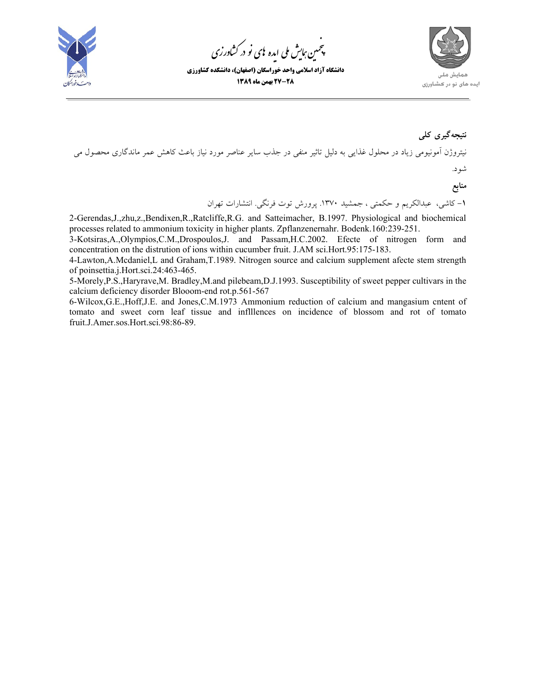

.<br>چمین *جایش ملی* ایده <sup>ب</sup>ای نو در کشاورزی ൕह

ֺׅ



## **نتيجهگيري كلي**

نيتروژن آمونيومي زياد در محلول غذايي به دليل تاثير منفي در جذب ساير عناصر مورد نياز باعث كاهش عمر ماندگاري محصول مي شود.

**منابع** 

**-1** كاشي، عبدالكريم و حكمتي ، جمشيد .1370 پرورش توت فرنگي. انتشارات تهران

2-Gerendas,J.,zhu,z.,Bendixen,R.,Ratcliffe,R.G. and Satteimacher, B.1997. Physiological and biochemical processes related to ammonium toxicity in higher plants. Zpflanzenernahr. Bodenk.160:239-251.

3-Kotsiras,A.,Olympios,C.M.,Drospoulos,J. and Passam,H.C.2002. Efecte of nitrogen form and concentration on the distrution of ions within cucumber fruit. J.AM sci.Hort.95:175-183.

4-Lawton,A.Mcdaniel,L and Graham,T.1989. Nitrogen source and calcium supplement afecte stem strength of poinsettia.j.Hort.sci.24:463-465.

5-Morely,P.S.,Haryrave,M. Bradley,M.and pilebeam,D.J.1993. Susceptibility of sweet pepper cultivars in the calcium deficiency disorder Blooom-end rot.p.561-567

6-Wilcox,G.E.,Hoff,J.E. and Jones,C.M.1973 Ammonium reduction of calcium and mangasium cntent of tomato and sweet corn leaf tissue and inflllences on incidence of blossom and rot of tomato fruit.J.Amer.sos.Hort.sci.98:86-89.